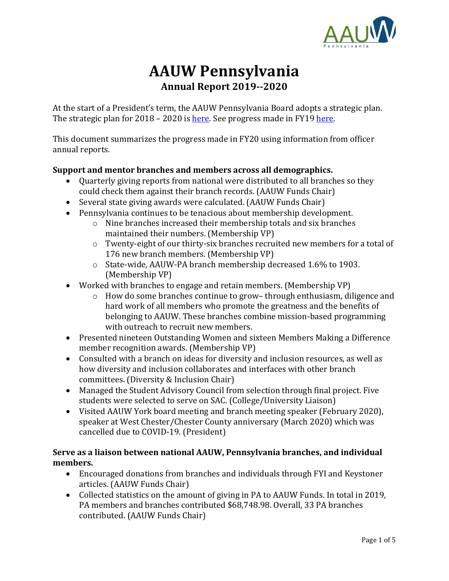

# **AAUW Pennsylvania Annual Report 2019--2020**

At the start of a President's term, the AAUW Pennsylvania Board adopts a strategic plan. The strategic plan for 2018 – 2020 is [here.](https://aauw-pa.aauw.net/files/2020/08/AAUW-PA-Strategic-Plan-2018-20-FINAL.pdf) See progress made in FY1[9 here.](https://aauw-pa.aauw.net/files/2019/07/Annual-Report-2019-FINAL.pdf)

This document summarizes the progress made in FY20 using information from officer annual reports.

### **Support and mentor branches and members across all demographics.**

- Quarterly giving reports from national were distributed to all branches so they could check them against their branch records. (AAUW Funds Chair)
- Several state giving awards were calculated. (AAUW Funds Chair)
- Pennsylvania continues to be tenacious about membership development.
	- o Nine branches increased their membership totals and six branches maintained their numbers. (Membership VP)
	- o Twenty-eight of our thirty-six branches recruited new members for a total of 176 new branch members. (Membership VP)
	- o State-wide, AAUW-PA branch membership decreased 1.6% to 1903. (Membership VP)
- Worked with branches to engage and retain members. (Membership VP)
	- o How do some branches continue to grow– through enthusiasm, diligence and hard work of all members who promote the greatness and the benefits of belonging to AAUW. These branches combine mission-based programming with outreach to recruit new members.
- Presented nineteen Outstanding Women and sixteen Members Making a Difference member recognition awards. (Membership VP)
- Consulted with a branch on ideas for diversity and inclusion resources, as well as how diversity and inclusion collaborates and interfaces with other branch committees. (Diversity & Inclusion Chair)
- Managed the Student Advisory Council from selection through final project. Five students were selected to serve on SAC. (College/University Liaison)
- Visited AAUW York board meeting and branch meeting speaker (February 2020), speaker at West Chester/Chester County anniversary (March 2020) which was cancelled due to COVID-19. (President)

### **Serve as a liaison between national AAUW, Pennsylvania branches, and individual members.**

- Encouraged donations from branches and individuals through FYI and Keystoner articles. (AAUW Funds Chair)
- Collected statistics on the amount of giving in PA to AAUW Funds. In total in 2019, PA members and branches contributed \$68,748.98. Overall, 33 PA branches contributed. (AAUW Funds Chair)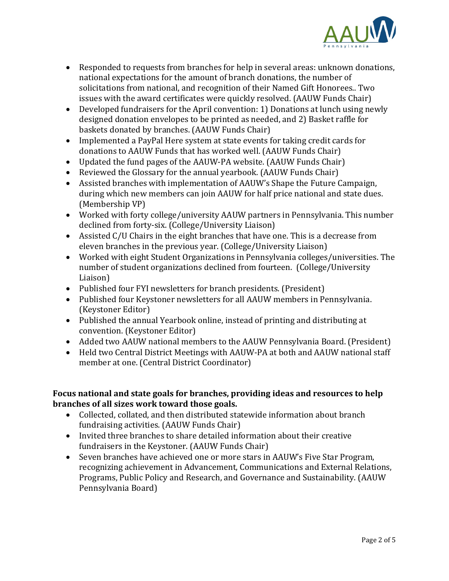

- Responded to requests from branches for help in several areas: unknown donations, national expectations for the amount of branch donations, the number of solicitations from national, and recognition of their Named Gift Honorees.. Two issues with the award certificates were quickly resolved. (AAUW Funds Chair)
- Developed fundraisers for the April convention: 1) Donations at lunch using newly designed donation envelopes to be printed as needed, and 2) Basket raffle for baskets donated by branches. (AAUW Funds Chair)
- Implemented a PayPal Here system at state events for taking credit cards for donations to AAUW Funds that has worked well. (AAUW Funds Chair)
- Updated the fund pages of the AAUW-PA website. (AAUW Funds Chair)
- Reviewed the Glossary for the annual yearbook. (AAUW Funds Chair)
- Assisted branches with implementation of AAUW's Shape the Future Campaign, during which new members can join AAUW for half price national and state dues. (Membership VP)
- Worked with forty college/university AAUW partners in Pennsylvania. This number declined from forty-six. (College/University Liaison)
- Assisted C/U Chairs in the eight branches that have one. This is a decrease from eleven branches in the previous year. (College/University Liaison)
- Worked with eight Student Organizations in Pennsylvania colleges/universities. The number of student organizations declined from fourteen. (College/University Liaison)
- Published four FYI newsletters for branch presidents. (President)
- Published four Keystoner newsletters for all AAUW members in Pennsylvania. (Keystoner Editor)
- Published the annual Yearbook online, instead of printing and distributing at convention. (Keystoner Editor)
- Added two AAUW national members to the AAUW Pennsylvania Board. (President)
- Held two Central District Meetings with AAUW-PA at both and AAUW national staff member at one. (Central District Coordinator)

### **Focus national and state goals for branches, providing ideas and resources to help branches of all sizes work toward those goals.**

- Collected, collated, and then distributed statewide information about branch fundraising activities. (AAUW Funds Chair)
- Invited three branches to share detailed information about their creative fundraisers in the Keystoner. (AAUW Funds Chair)
- Seven branches have achieved one or more stars in AAUW's Five Star Program, recognizing achievement in Advancement, Communications and External Relations, Programs, Public Policy and Research, and Governance and Sustainability. (AAUW Pennsylvania Board)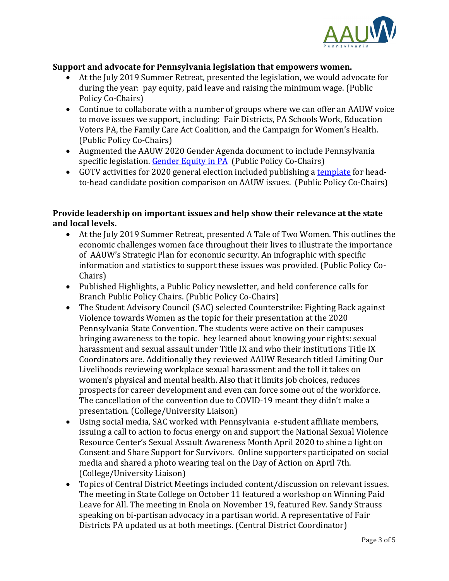

### **Support and advocate for Pennsylvania legislation that empowers women.**

- At the July 2019 Summer Retreat, presented the legislation, we would advocate for during the year: pay equity, paid leave and raising the minimum wage. (Public Policy Co-Chairs)
- Continue to collaborate with a number of groups where we can offer an AAUW voice to move issues we support, including: Fair Districts, PA Schools Work, Education Voters PA, the Family Care Act Coalition, and the Campaign for Women's Health. (Public Policy Co-Chairs)
- Augmented the AAUW 2020 Gender Agenda document to include Pennsylvania specific legislation. [Gender Equity in PA](https://aauw-pa.aauw.net/files/2020/08/Gender-Agenda-in-PA.docx) (Public Policy Co-Chairs)
- GOTV activities for 2020 general election included publishing [a template](https://aauw-pa.aauw.net/files/2020/08/2020-State-Election-Head-to-Head-Voter-Guide-PA.doc) for headto-head candidate position comparison on AAUW issues. (Public Policy Co-Chairs)

### **Provide leadership on important issues and help show their relevance at the state and local levels.**

- At the July 2019 Summer Retreat, presented A Tale of Two Women. This outlines the economic challenges women face throughout their lives to illustrate the importance of AAUW's Strategic Plan for economic security. An infographic with specific information and statistics to support these issues was provided. (Public Policy Co-Chairs)
- Published Highlights, a Public Policy newsletter, and held conference calls for Branch Public Policy Chairs. (Public Policy Co-Chairs)
- The Student Advisory Council (SAC) selected Counterstrike: Fighting Back against Violence towards Women as the topic for their presentation at the 2020 Pennsylvania State Convention. The students were active on their campuses bringing awareness to the topic. hey learned about knowing your rights: sexual harassment and sexual assault under Title IX and who their institutions Title IX Coordinators are. Additionally they reviewed AAUW Research titled Limiting Our Livelihoods reviewing workplace sexual harassment and the toll it takes on women's physical and mental health. Also that it limits job choices, reduces prospects for career development and even can force some out of the workforce. The cancellation of the convention due to COVID-19 meant they didn't make a presentation. (College/University Liaison)
- Using social media, SAC worked with Pennsylvania e-student affiliate members, issuing a call to action to focus energy on and support the National Sexual Violence Resource Center's Sexual Assault Awareness Month April 2020 to shine a light on Consent and Share Support for Survivors. Online supporters participated on social media and shared a photo wearing teal on the Day of Action on April 7th. (College/University Liaison)
- Topics of Central District Meetings included content/discussion on relevant issues. The meeting in State College on October 11 featured a workshop on Winning Paid Leave for All. The meeting in Enola on November 19, featured Rev. Sandy Strauss speaking on bi-partisan advocacy in a partisan world. A representative of Fair Districts PA updated us at both meetings. (Central District Coordinator)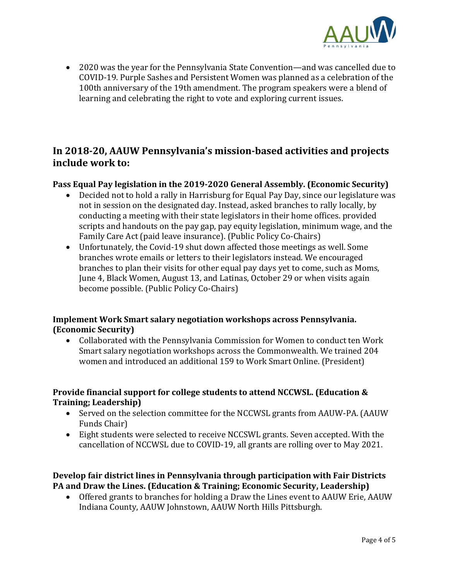

• 2020 was the year for the Pennsylvania State Convention—and was cancelled due to COVID-19. Purple Sashes and Persistent Women was planned as a celebration of the 100th anniversary of the 19th amendment. The program speakers were a blend of learning and celebrating the right to vote and exploring current issues.

# **In 2018-20, AAUW Pennsylvania's mission-based activities and projects include work to:**

### **Pass Equal Pay legislation in the 2019-2020 General Assembly. (Economic Security)**

- Decided not to hold a rally in Harrisburg for Equal Pay Day, since our legislature was not in session on the designated day. Instead, asked branches to rally locally, by conducting a meeting with their state legislators in their home offices. provided scripts and handouts on the pay gap, pay equity legislation, minimum wage, and the Family Care Act (paid leave insurance). (Public Policy Co-Chairs)
- Unfortunately, the Covid-19 shut down affected those meetings as well. Some branches wrote emails or letters to their legislators instead. We encouraged branches to plan their visits for other equal pay days yet to come, such as Moms, June 4, Black Women, August 13, and Latinas, October 29 or when visits again become possible. (Public Policy Co-Chairs)

### **Implement Work Smart salary negotiation workshops across Pennsylvania. (Economic Security)**

• Collaborated with the Pennsylvania Commission for Women to conduct ten Work Smart salary negotiation workshops across the Commonwealth. We trained 204 women and introduced an additional 159 to Work Smart Online. (President)

### **Provide financial support for college students to attend NCCWSL. (Education & Training; Leadership)**

- Served on the selection committee for the NCCWSL grants from AAUW-PA. (AAUW Funds Chair)
- Eight students were selected to receive NCCSWL grants. Seven accepted. With the cancellation of NCCWSL due to COVID-19, all grants are rolling over to May 2021.

### **Develop fair district lines in Pennsylvania through participation with Fair Districts PA and Draw the Lines. (Education & Training; Economic Security, Leadership)**

• Offered grants to branches for holding a Draw the Lines event to AAUW Erie, AAUW Indiana County, AAUW Johnstown, AAUW North Hills Pittsburgh.